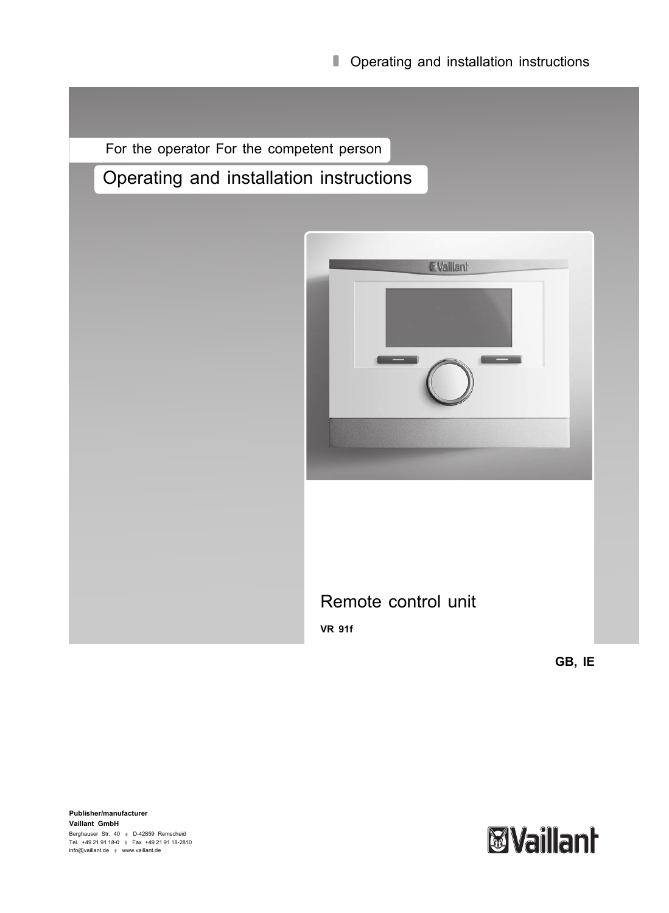**Operating and installation instructions** 

For the operator For the competent person

# Operating and installation instructions



**GB, IE**

**Publisher/manufacturer Vaillant GmbH** Berghauser Str. 40 ∥ D-42859 Remscheid<br>Tel. +49 21 91 18-0 ∥ Fax +49 21 91 18-2810<br>info@vaillant.de ∥ www.vaillant.de

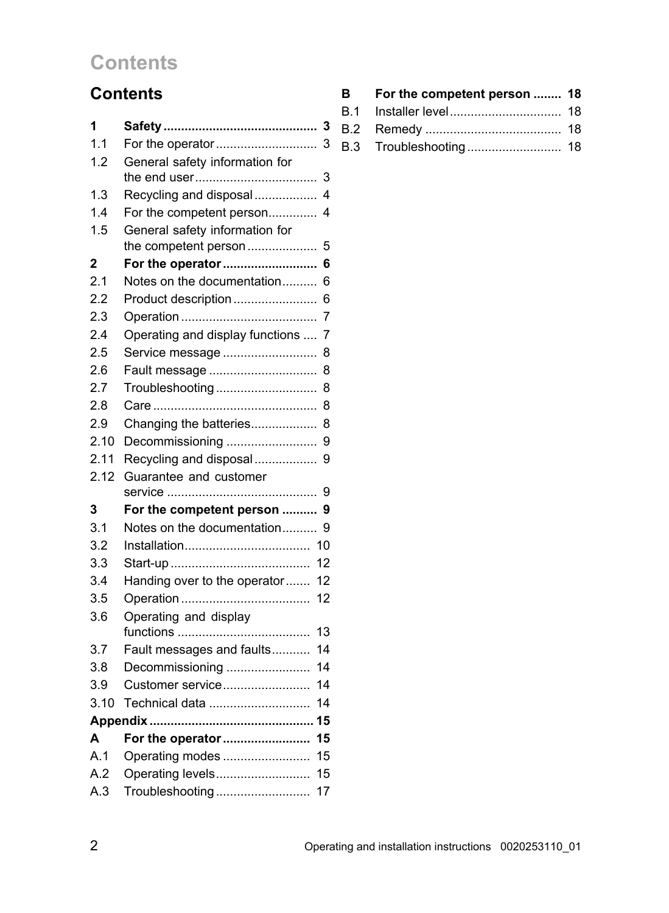# **Contents**

# **Contents**

| 1            | 3                                    |
|--------------|--------------------------------------|
| 1.1          | For the operator<br>3                |
| 1.2          | General safety information for       |
|              | 3                                    |
| 1.3          | Recycling and disposal<br>4          |
| 1.4          | For the competent person<br>4        |
| 1.5          | General safety information for       |
|              | the competent person<br>5            |
| $\mathbf{2}$ | For the operator<br>6                |
| 2.1          | Notes on the documentation<br>6      |
| 2.2          | Product description<br>6             |
| 2.3          | 7                                    |
| 2.4          | Operating and display functions<br>7 |
| 2.5          | Service message<br>8                 |
| 2.6          | Fault message<br>8                   |
| 2.7          | Troubleshooting<br>8                 |
| 2.8          | 8                                    |
| 2.9          | Changing the batteries<br>8          |
| 2.10         | 9<br>Decommissioning                 |
| 2.11         | Recycling and disposal<br>9          |
| 2.12         | Guarantee and customer               |
|              | 9                                    |
| 3            | For the competent person<br>9        |
| 3.1          | Notes on the documentation<br>9      |
| 3.2          | 10                                   |
| 3.3          | 12                                   |
| 3.4          | Handing over to the operator<br>12   |
| 3.5          | 12                                   |
| 3.6          | Operating and display                |
|              | 13                                   |
| 3.7          | Fault messages and faults<br>14      |
| 3.8          | Decommissioning<br>14                |
| 3.9          | 14<br>Customer service               |
| 3.10         | Technical data<br>14                 |
|              |                                      |
| A            | For the operator<br>15               |
|              |                                      |
| A.1          | 15<br>Operating modes                |
| A.2          | Operating levels<br>15               |
| A.3          | 17<br>Troubleshooting                |

| <b>B</b> | For the competent person  18 |  |
|----------|------------------------------|--|
|          |                              |  |
|          |                              |  |
|          |                              |  |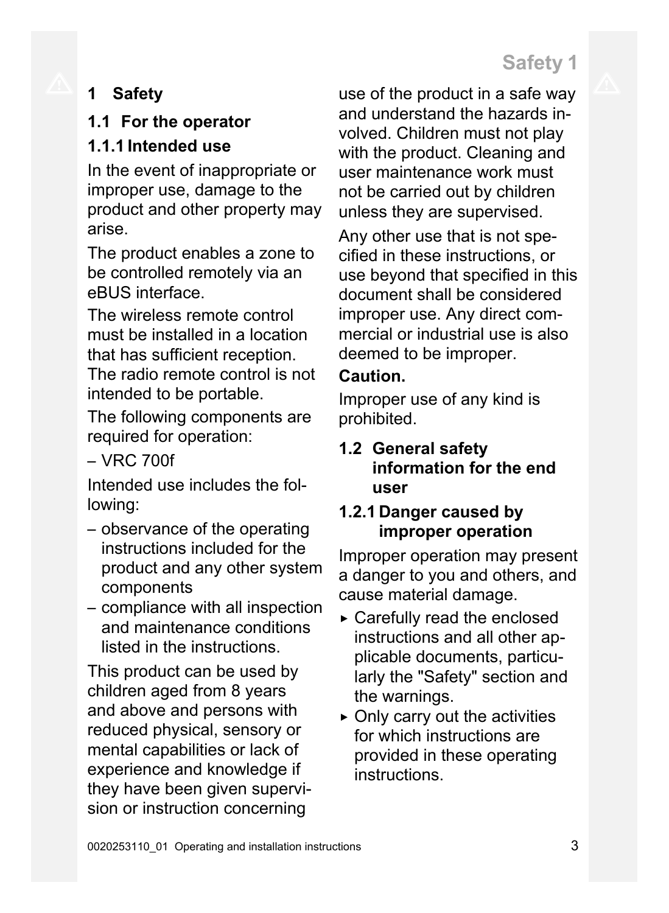# **1 Safety**

# **1.1 For the operator**

## **1.1.1 Intended use**

In the event of inappropriate or improper use, damage to the product and other property may arise.

The product enables a zone to be controlled remotely via an eBUS interface.

The wireless remote control must be installed in a location that has sufficient reception. The radio remote control is not intended to be portable.

The following components are required for operation:

 $-$  VRC 700f

Intended use includes the following:

- observance of the operating instructions included for the product and any other system components
- compliance with all inspection and maintenance conditions listed in the instructions.

This product can be used by children aged from 8 years and above and persons with reduced physical, sensory or mental capabilities or lack of experience and knowledge if they have been given supervision or instruction concerning

use of the product in a safe way and understand the hazards involved. Children must not play with the product. Cleaning and user maintenance work must not be carried out by children unless they are supervised.

Any other use that is not specified in these instructions, or use beyond that specified in this document shall be considered improper use. Any direct commercial or industrial use is also deemed to be improper.

### **Caution.**

Improper use of any kind is prohibited.

### **1.2 General safety information for the end user**

### **1.2.1 Danger caused by improper operation**

Improper operation may present a danger to you and others, and cause material damage.

- ▶ Carefully read the enclosed instructions and all other applicable documents, particularly the "Safety" section and the warnings.
- $\triangleright$  Only carry out the activities for which instructions are provided in these operating instructions.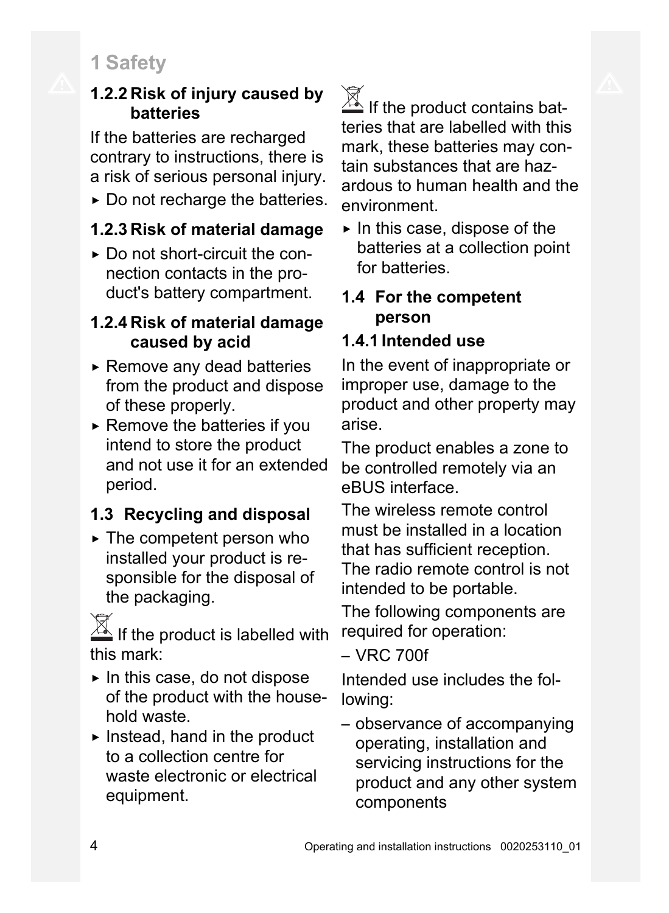# **1 Safety**

### **1.2.2 Risk of injury caused by batteries**

If the batteries are recharged contrary to instructions, there is a risk of serious personal injury.

 $\triangleright$  Do not recharge the batteries.

# **1.2.3 Risk of material damage**

▶ Do not short-circuit the connection contacts in the product's battery compartment.

### **1.2.4 Risk of material damage caused by acid**

- $\triangleright$  Remove any dead batteries from the product and dispose of these properly.
- $\triangleright$  Remove the batteries if you intend to store the product and not use it for an extended period.

# **1.3 Recycling and disposal**

 $\triangleright$  The competent person who installed your product is responsible for the disposal of the packaging.

 $\mathbb{A}$  If the product is labelled with this mark:

- $\blacktriangleright$  In this case, do not dispose of the product with the household waste.
- $\blacktriangleright$  Instead, hand in the product to a collection centre for waste electronic or electrical equipment.

 $\overline{\mathbb{X}}$  If the product contains batteries that are labelled with this mark, these batteries may contain substances that are hazardous to human health and the environment.

 $\triangleright$  In this case, dispose of the batteries at a collection point for batteries.

### **1.4 For the competent person**

# **1.4.1 Intended use**

In the event of inappropriate or improper use, damage to the product and other property may arise.

The product enables a zone to be controlled remotely via an eBUS interface.

The wireless remote control must be installed in a location that has sufficient reception. The radio remote control is not intended to be portable.

The following components are required for operation:

– VRC 700f

Intended use includes the following:

– observance of accompanying operating, installation and servicing instructions for the product and any other system components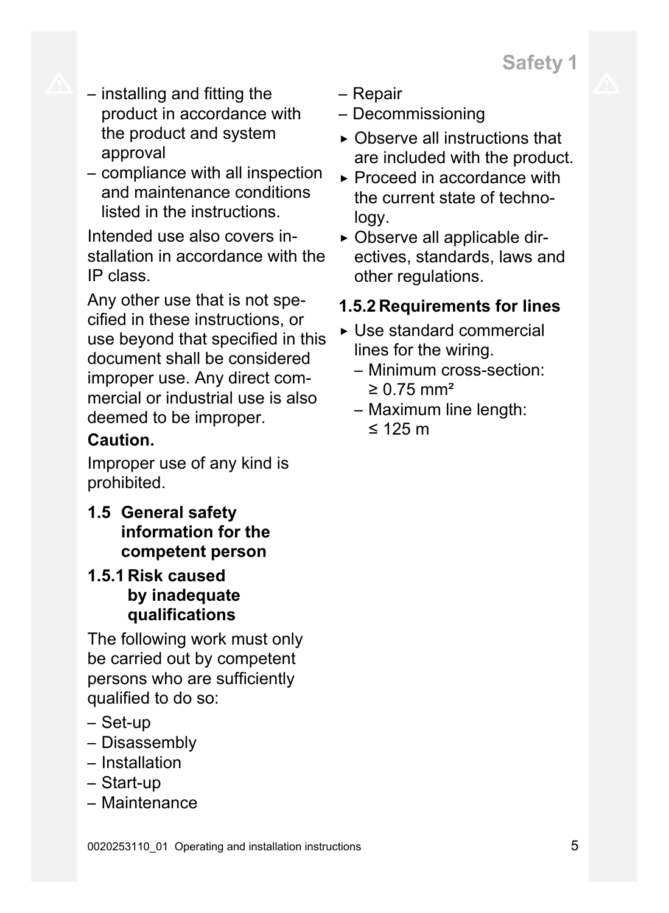

- installing and fitting the product in accordance with the product and system approval
- compliance with all inspection and maintenance conditions listed in the instructions.

Intended use also covers installation in accordance with the IP class.

Any other use that is not specified in these instructions, or use beyond that specified in this document shall be considered improper use. Any direct commercial or industrial use is also deemed to be improper.

### **Caution.**

Improper use of any kind is prohibited.

**1.5 General safety information for the competent person**

### **1.5.1 Risk caused by inadequate qualifications**

The following work must only be carried out by competent persons who are sufficiently qualified to do so:

- Set-up
- Disassembly
- Installation
- Start-up
- Maintenance
- Repair
- Decommissioning
- $\triangleright$  Observe all instructions that are included with the product.
- ▶ Proceed in accordance with the current state of technology.
- ▶ Observe all applicable directives, standards, laws and other regulations.
- **1.5.2 Requirements for lines**
- ▶ Use standard commercial lines for the wiring.
	- Minimum cross-section:  $≥ 0.75$  mm<sup>2</sup>
	- Maximum line length: ≤ 125 m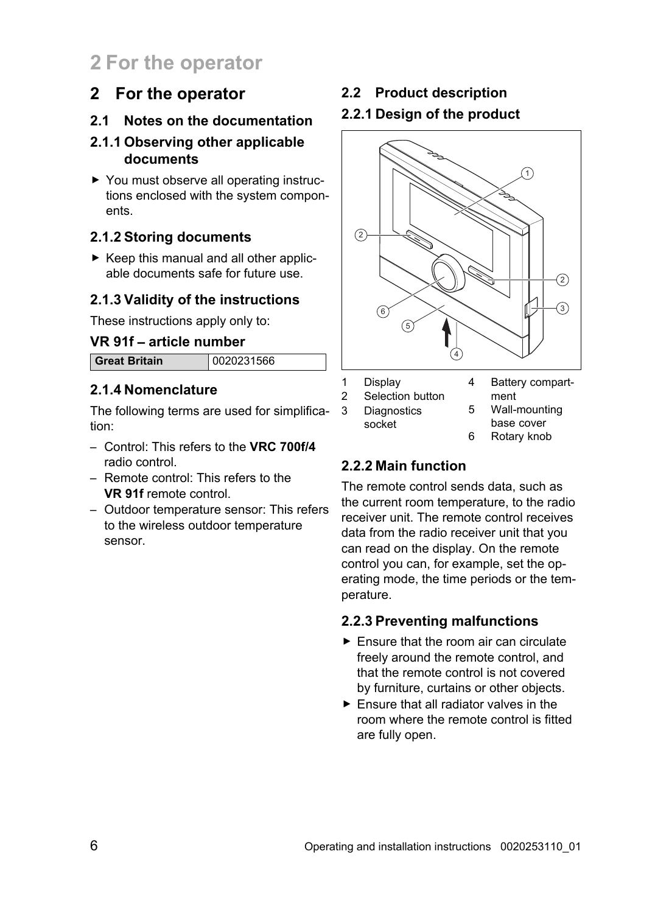# **2 For the operator**

### **2 For the operator**

### **2.1 Notes on the documentation**

### **2.1.1 Observing other applicable documents**

▶ You must observe all operating instructions enclosed with the system components.

### **2.1.2 Storing documents**

 $\triangleright$  Keep this manual and all other applicable documents safe for future use.

### **2.1.3 Validity of the instructions**

These instructions apply only to:

### **VR 91f** – **article number**

**Great Britain** 0020231566

# **2.1.4 Nomenclature**

The following terms are used for simplification:

- Control: This refers to the **VRC 700f/4** radio control.
- Remote control: This refers to the **VR 91f** remote control.
- Outdoor temperature sensor: This refers to the wireless outdoor temperature sensor.

### **2.2 Product description**

### **2.2.1 Design of the product**



#### 6 Rotary knob

### **2.2.2 Main function**

The remote control sends data, such as the current room temperature, to the radio receiver unit. The remote control receives data from the radio receiver unit that you can read on the display. On the remote control you can, for example, set the operating mode, the time periods or the temperature.

### **2.2.3 Preventing malfunctions**

- $\blacktriangleright$  Ensure that the room air can circulate freely around the remote control, and that the remote control is not covered by furniture, curtains or other objects.
- ▶ Ensure that all radiator valves in the room where the remote control is fitted are fully open.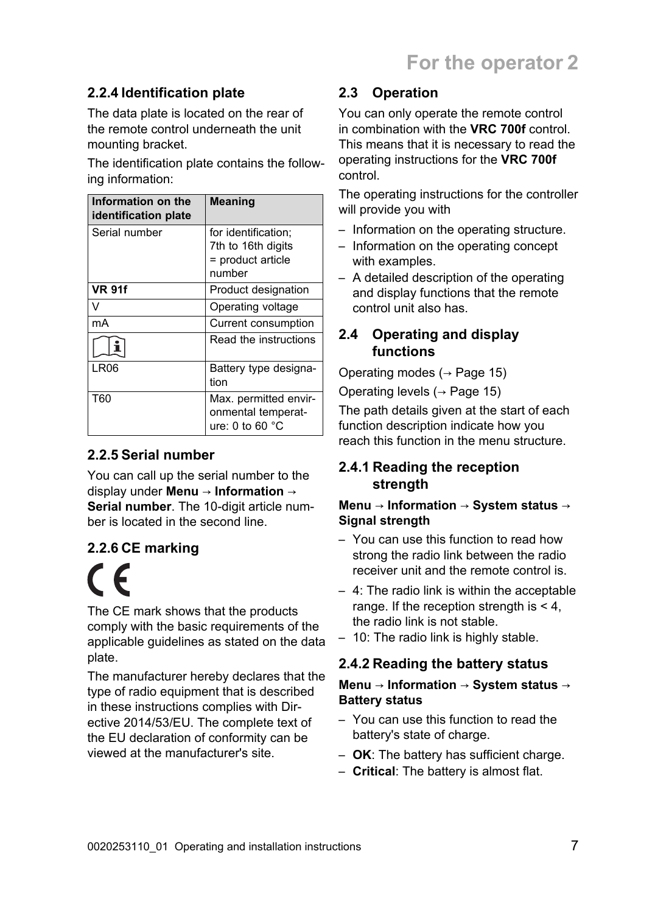### **2.2.4 Identification plate**

The data plate is located on the rear of the remote control underneath the unit mounting bracket.

The identification plate contains the following information:

| Information on the<br>identification plate | <b>Meaning</b>                                                           |
|--------------------------------------------|--------------------------------------------------------------------------|
| Serial number                              | for identification:<br>7th to 16th digits<br>= product article<br>number |
| <b>VR 91f</b>                              | Product designation                                                      |
|                                            | Operating voltage                                                        |
| mA                                         | Current consumption                                                      |
|                                            | Read the instructions                                                    |
| LR <sub>06</sub>                           | Battery type designa-<br>tion                                            |
| T60                                        | Max. permitted envir-<br>onmental temperat-<br>ure: 0 to 60 $^{\circ}$ C |

### **2.2.5 Serial number**

You can call up the serial number to the display under **Menu** → **Information** → **Serial number**. The 10-digit article number is located in the second line.

### **2.2.6 CE marking**

 $\epsilon$ The CE mark shows that the products comply with the basic requirements of the applicable guidelines as stated on the data plate.

The manufacturer hereby declares that the type of radio equipment that is described in these instructions complies with Directive 2014/53/EU. The complete text of the EU declaration of conformity can be viewed at the manufacturer's site.

### **2.3 Operation**

You can only operate the remote control in combination with the **VRC 700f** control. This means that it is necessary to read the operating instructions for the **VRC 700f** control.

The operating instructions for the controller will provide you with

- Information on the operating structure.
- Information on the operating concept with examples.
- A detailed description of the operating and display functions that the remote control unit also has.

### **2.4 Operating and display functions**

Operating modes  $($   $\rightarrow$  Page 15)

Operating levels  $($   $\rightarrow$  Page 15)

The path details given at the start of each function description indicate how you reach this function in the menu structure.

### **2.4.1 Reading the reception strength**

#### **Menu** → **Information** → **System status** → **Signal strength**

- You can use this function to read how strong the radio link between the radio receiver unit and the remote control is.
- 4: The radio link is within the acceptable range. If the reception strength is < 4, the radio link is not stable.
- 10: The radio link is highly stable.

### **2.4.2 Reading the battery status**

#### **Menu** → **Information** → **System status** → **Battery status**

- You can use this function to read the battery's state of charge.
- **OK**: The battery has sufficient charge.
- **Critical**: The battery is almost flat.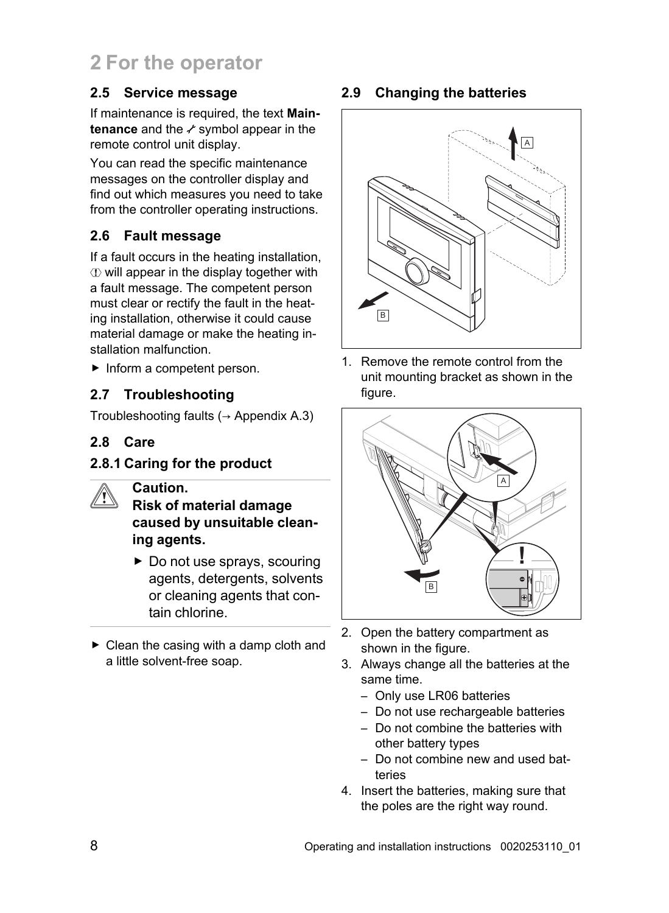# **2 For the operator**

### **2.5 Service message**

If maintenance is required, the text **Maintenance** and the *s* symbol appear in the remote control unit display.

You can read the specific maintenance messages on the controller display and find out which measures you need to take from the controller operating instructions.

### **2.6 Fault message**

If a fault occurs in the heating installation,  $\Phi$  will appear in the display together with a fault message. The competent person must clear or rectify the fault in the heating installation, otherwise it could cause material damage or make the heating installation malfunction.

▶ Inform a competent person.

### **2.7 Troubleshooting**

Troubleshooting faults  $(→$  Appendix A.3)

### **2.8 Care**

### **2.8.1 Caring for the product**

### **Caution.**

**Risk of material damage caused by unsuitable cleaning agents.**

- ▶ Do not use sprays, scouring agents, detergents, solvents or cleaning agents that contain chlorine.
- $\triangleright$  Clean the casing with a damp cloth and a little solvent-free soap.

### **2.9 Changing the batteries**



1. Remove the remote control from the unit mounting bracket as shown in the figure.



- 2. Open the battery compartment as shown in the figure.
- 3. Always change all the batteries at the same time.
	- Only use LR06 batteries
	- Do not use rechargeable batteries
	- Do not combine the batteries with other battery types
	- Do not combine new and used batteries
- 4. Insert the batteries, making sure that the poles are the right way round.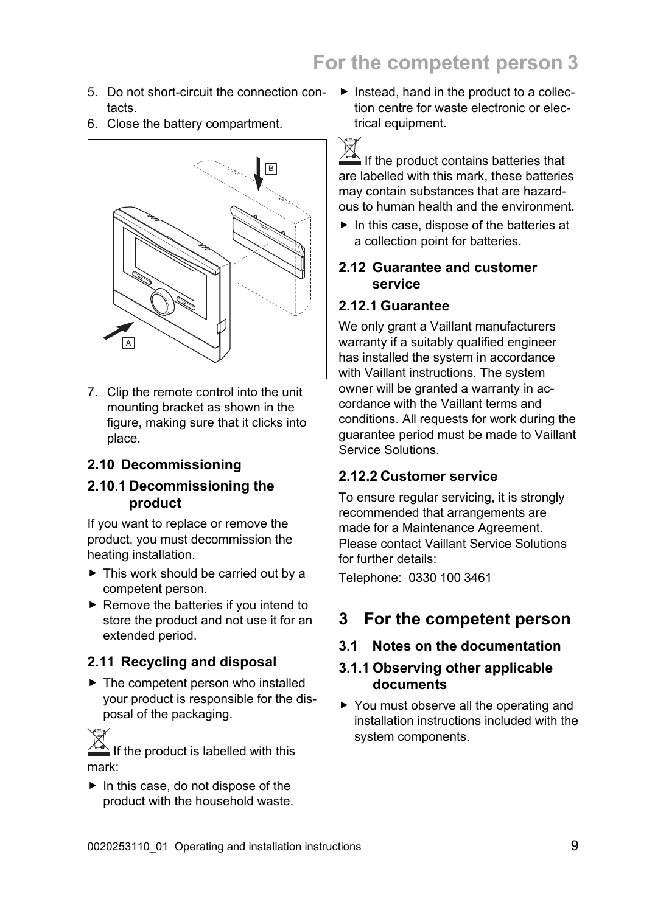- 5. Do not short-circuit the connection contacts.
- 6. Close the battery compartment.



7. Clip the remote control into the unit mounting bracket as shown in the figure, making sure that it clicks into place.

#### **2.10 Decommissioning**

#### **2.10.1 Decommissioning the product**

If you want to replace or remove the product, you must decommission the heating installation.

- ▶ This work should be carried out by a competent person.
- $\blacktriangleright$  Remove the batteries if you intend to store the product and not use it for an extended period.

### **2.11 Recycling and disposal**

 $\blacktriangleright$  The competent person who installed your product is responsible for the disposal of the packaging.

If the product is labelled with this mark:

▶ In this case, do not dispose of the product with the household waste.  $\blacktriangleright$  Instead, hand in the product to a collection centre for waste electronic or electrical equipment.

 $\sqrt{a}$  If the product contains batteries that are labelled with this mark, these batteries may contain substances that are hazardous to human health and the environment.

 $\blacktriangleright$  In this case, dispose of the batteries at a collection point for batteries.

### **2.12 Guarantee and customer service**

#### **2.12.1 Guarantee**

We only grant a Vaillant manufacturers warranty if a suitably qualified engineer has installed the system in accordance with Vaillant instructions. The system owner will be granted a warranty in accordance with the Vaillant terms and conditions. All requests for work during the guarantee period must be made to Vaillant Service Solutions.

#### **2.12.2 Customer service**

To ensure regular servicing, it is strongly recommended that arrangements are made for a Maintenance Agreement. Please contact Vaillant Service Solutions for further details:

Telephone: 0330 100 3461

### **3 For the competent person**

### **3.1 Notes on the documentation**

### **3.1.1 Observing other applicable documents**

▶ You must observe all the operating and installation instructions included with the system components.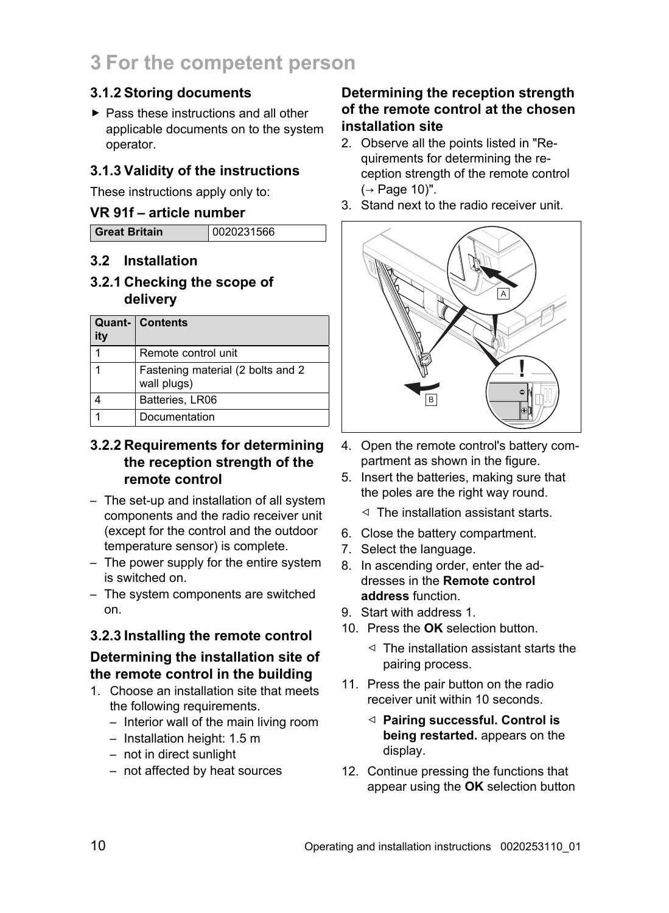### **3.1.2 Storing documents**

▶ Pass these instructions and all other applicable documents on to the system operator.

### **3.1.3 Validity of the instructions**

These instructions apply only to:

### **VR 91f** – **article number**

| <b>Great Britain</b> | 0020231566 |
|----------------------|------------|

### **3.2 Installation**

**3.2.1 Checking the scope of delivery**

| ity | <b>Quant- Contents</b>                           |
|-----|--------------------------------------------------|
|     | Remote control unit                              |
|     | Fastening material (2 bolts and 2<br>wall plugs) |
|     | Batteries, LR06                                  |
|     | Documentation                                    |

### **3.2.2 Requirements for determining the reception strength of the remote control**

- The set-up and installation of all system components and the radio receiver unit (except for the control and the outdoor temperature sensor) is complete.
- The power supply for the entire system is switched on.
- The system components are switched on.

### **3.2.3 Installing the remote control**

### **Determining the installation site of the remote control in the building**

- 1. Choose an installation site that meets the following requirements.
	- Interior wall of the main living room
	- Installation height: 1.5 m
	- not in direct sunlight
	- not affected by heat sources

### **Determining the reception strength of the remote control at the chosen installation site**

- 2. Observe all the points listed in "Requirements for determining the reception strength of the remote control (→ Page 10)".
- 3. Stand next to the radio receiver unit.



- 4. Open the remote control's battery compartment as shown in the figure.
- 5. Insert the batteries, making sure that the poles are the right way round.
	- ◁ The installation assistant starts.
- 6. Close the battery compartment.
- 7. Select the language.
- 8. In ascending order, enter the addresses in the **Remote control address** function.
- 9. Start with address 1.
- 10. Press the **OK** selection button.
	- ◁ The installation assistant starts the pairing process.
- 11. Press the pair button on the radio receiver unit within 10 seconds.
	- ◁ **Pairing successful. Control is being restarted.** appears on the display.
- 12. Continue pressing the functions that appear using the **OK** selection button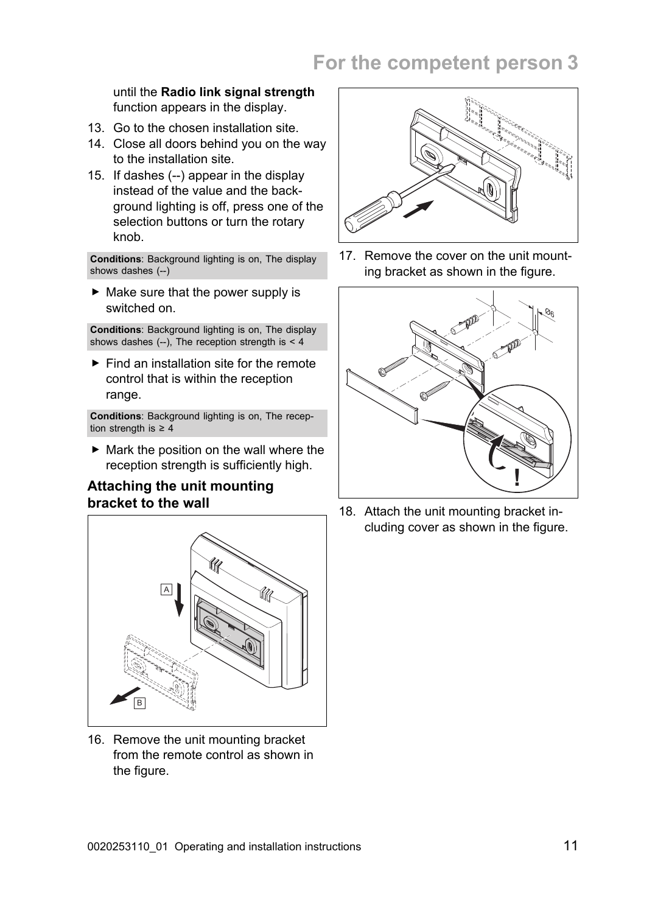### until the **Radio link signal strength** function appears in the display.

- 13. Go to the chosen installation site.
- 14. Close all doors behind you on the way to the installation site.
- 15. If dashes (--) appear in the display instead of the value and the background lighting is off, press one of the selection buttons or turn the rotary knob.

**Conditions**: Background lighting is on, The display shows dashes (--)

 $\triangleright$  Make sure that the power supply is switched on.

**Conditions**: Background lighting is on, The display shows dashes  $(-)$ , The reception strength is < 4

 $\blacktriangleright$  Find an installation site for the remote control that is within the reception range.

**Conditions**: Background lighting is on, The reception strength is  $\geq 4$ 

 $\blacktriangleright$  Mark the position on the wall where the reception strength is sufficiently high.

### **Attaching the unit mounting bracket to the wall**



16. Remove the unit mounting bracket from the remote control as shown in the figure.



17. Remove the cover on the unit mounting bracket as shown in the figure.



18. Attach the unit mounting bracket including cover as shown in the figure.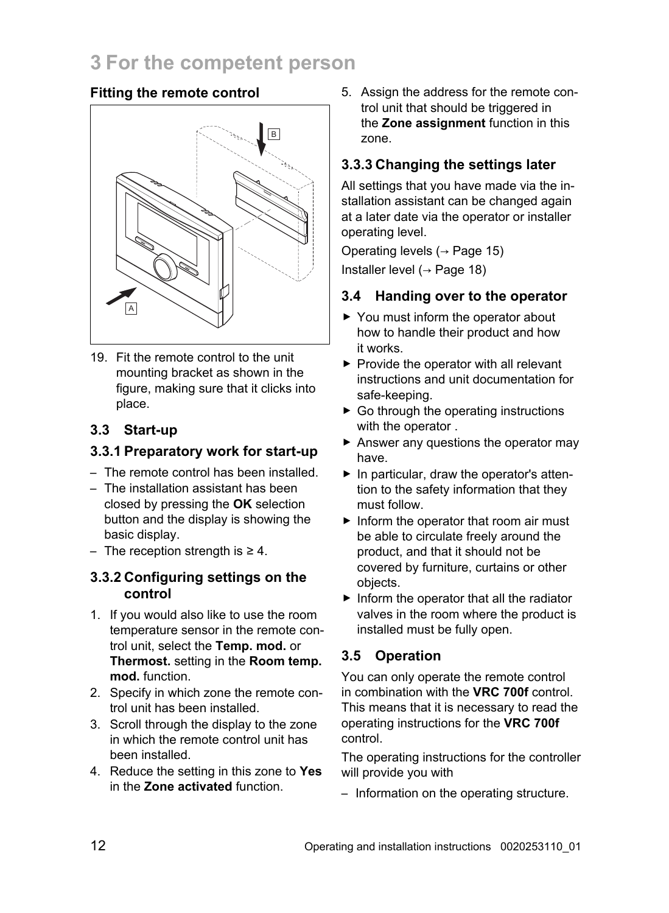### **Fitting the remote control**



19. Fit the remote control to the unit mounting bracket as shown in the figure, making sure that it clicks into place.

### **3.3 Start-up**

### **3.3.1 Preparatory work for start-up**

- The remote control has been installed.
- The installation assistant has been closed by pressing the **OK** selection button and the display is showing the basic display.
- The reception strength is ≥ 4.

### **3.3.2 Configuring settings on the control**

- 1. If you would also like to use the room temperature sensor in the remote control unit, select the **Temp. mod.** or **Thermost.** setting in the **Room temp. mod.** function.
- 2. Specify in which zone the remote control unit has been installed.
- 3. Scroll through the display to the zone in which the remote control unit has been installed.
- 4. Reduce the setting in this zone to **Yes** in the **Zone activated** function.

5. Assign the address for the remote control unit that should be triggered in the **Zone assignment** function in this zone.

### **3.3.3 Changing the settings later**

All settings that you have made via the installation assistant can be changed again at a later date via the operator or installer operating level.

Operating levels (→ Page 15) Installer level (→ Page 18)

### **3.4 Handing over to the operator**

- ▶ You must inform the operator about how to handle their product and how it works.
- $\blacktriangleright$  Provide the operator with all relevant instructions and unit documentation for safe-keeping.
- $\triangleright$  Go through the operating instructions with the operator .
- ▶ Answer any questions the operator may have.
- $\blacktriangleright$  In particular, draw the operator's attention to the safety information that they must follow.
- ▶ Inform the operator that room air must be able to circulate freely around the product, and that it should not be covered by furniture, curtains or other objects.
- $\blacktriangleright$  Inform the operator that all the radiator valves in the room where the product is installed must be fully open.

### **3.5 Operation**

You can only operate the remote control in combination with the **VRC 700f** control. This means that it is necessary to read the operating instructions for the **VRC 700f** control.

The operating instructions for the controller will provide you with

– Information on the operating structure.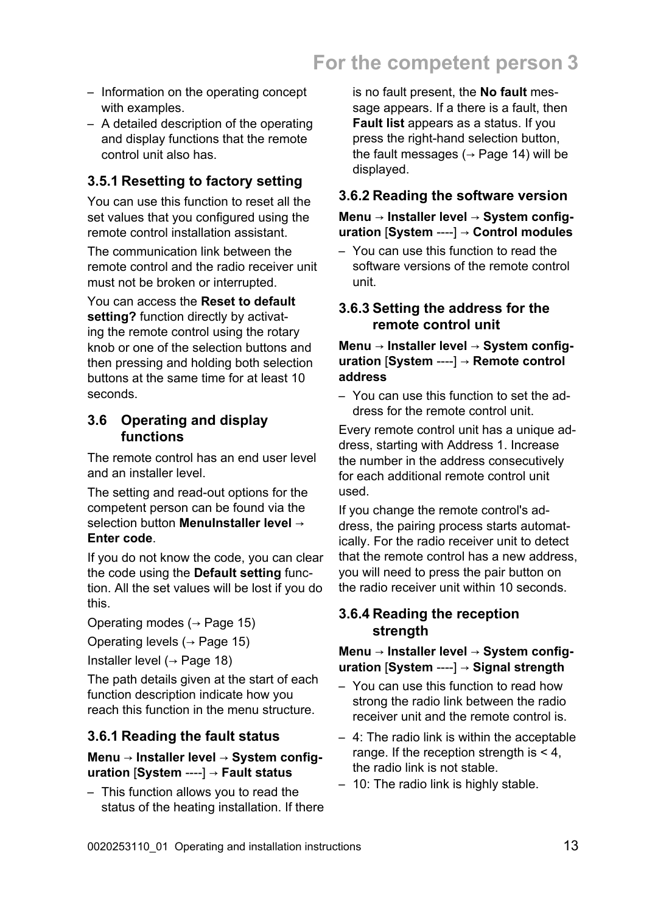- Information on the operating concept with examples.
- A detailed description of the operating and display functions that the remote control unit also has.

### **3.5.1 Resetting to factory setting**

You can use this function to reset all the set values that you configured using the remote control installation assistant.

The communication link between the remote control and the radio receiver unit must not be broken or interrupted.

You can access the **Reset to default setting?** function directly by activating the remote control using the rotary knob or one of the selection buttons and then pressing and holding both selection buttons at the same time for at least 10 seconds.

### **3.6 Operating and display functions**

The remote control has an end user level and an installer level.

The setting and read-out options for the competent person can be found via the selection button **MenuInstaller level** → **Enter code**.

If you do not know the code, you can clear the code using the **Default setting** function. All the set values will be lost if you do this.

Operating modes  $(\rightarrow$  Page 15)

Operating levels  $(→$  Page 15)

Installer level  $(→$  Page 18)

The path details given at the start of each function description indicate how you reach this function in the menu structure.

### **3.6.1 Reading the fault status**

#### **Menu** → **Installer level** → **System configuration** [**System** ----] → **Fault status**

– This function allows you to read the status of the heating installation. If there is no fault present, the **No fault** message appears. If a there is a fault, then **Fault list** appears as a status. If you press the right-hand selection button, the fault messages ( $\rightarrow$  Page 14) will be displayed.

### **3.6.2 Reading the software version**

#### **Menu** → **Installer level** → **System configuration** [**System** ----] → **Control modules**

– You can use this function to read the software versions of the remote control unit.

### **3.6.3 Setting the address for the remote control unit**

#### **Menu** → **Installer level** → **System configuration** [**System** ----] → **Remote control address**

– You can use this function to set the address for the remote control unit.

Every remote control unit has a unique address, starting with Address 1. Increase the number in the address consecutively for each additional remote control unit used.

If you change the remote control's address, the pairing process starts automatically. For the radio receiver unit to detect that the remote control has a new address, you will need to press the pair button on the radio receiver unit within 10 seconds.

### **3.6.4 Reading the reception strength**

#### **Menu** → **Installer level** → **System configuration** [**System** ----] → **Signal strength**

- You can use this function to read how strong the radio link between the radio receiver unit and the remote control is.
- 4: The radio link is within the acceptable range. If the reception strength is < 4, the radio link is not stable.
- 10: The radio link is highly stable.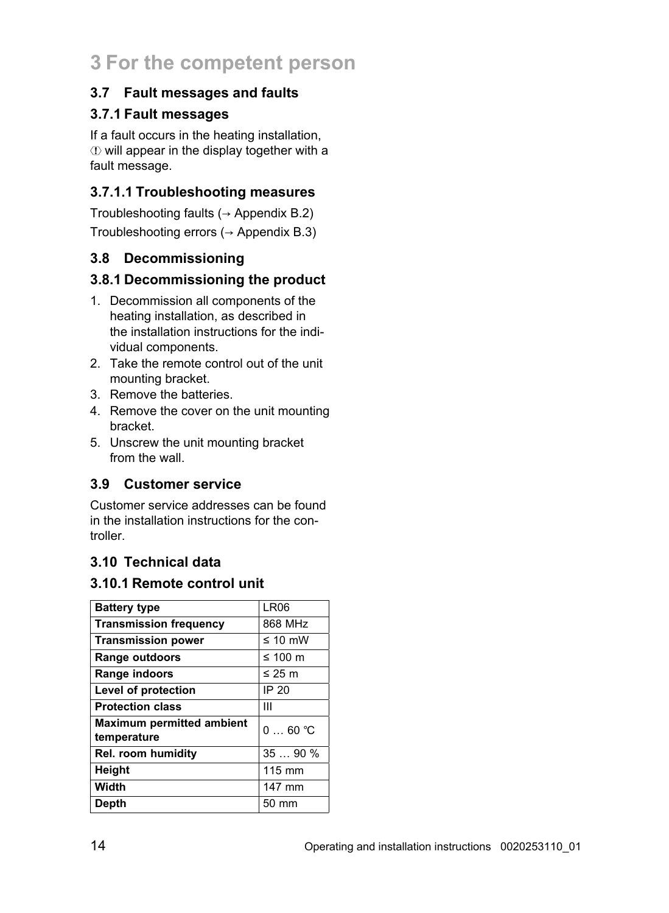### **3.7 Fault messages and faults**

### **3.7.1 Fault messages**

If a fault occurs in the heating installation,  $\Phi$  will appear in the display together with a fault message.

### **3.7.1.1 Troubleshooting measures**

Troubleshooting faults ( $\rightarrow$  Appendix B.2) Troubleshooting errors ( $\rightarrow$  Appendix B.3)

### **3.8 Decommissioning**

### **3.8.1 Decommissioning the product**

- 1. Decommission all components of the heating installation, as described in the installation instructions for the individual components.
- 2. Take the remote control out of the unit mounting bracket.
- 3. Remove the batteries.
- 4. Remove the cover on the unit mounting bracket.
- 5. Unscrew the unit mounting bracket from the wall.

### **3.9 Customer service**

Customer service addresses can be found in the installation instructions for the controller.

### **3.10 Technical data**

### **3.10.1 Remote control unit**

| <b>Battery type</b>                             | <b>LR06</b>  |
|-------------------------------------------------|--------------|
| <b>Transmission frequency</b>                   | 868 MHz      |
| <b>Transmission power</b>                       | $\leq 10$ mW |
| Range outdoors                                  | ≤ 100 $m$    |
| Range indoors                                   | ≤ 25 $m$     |
| Level of protection                             | IP 20        |
| <b>Protection class</b>                         | Ш            |
| <b>Maximum permitted ambient</b><br>temperature | $060$ °C     |
| Rel. room humidity                              | 3590%        |
| Height                                          | 115 mm       |
| Width                                           | 147 mm       |
| Depth                                           | 50 mm        |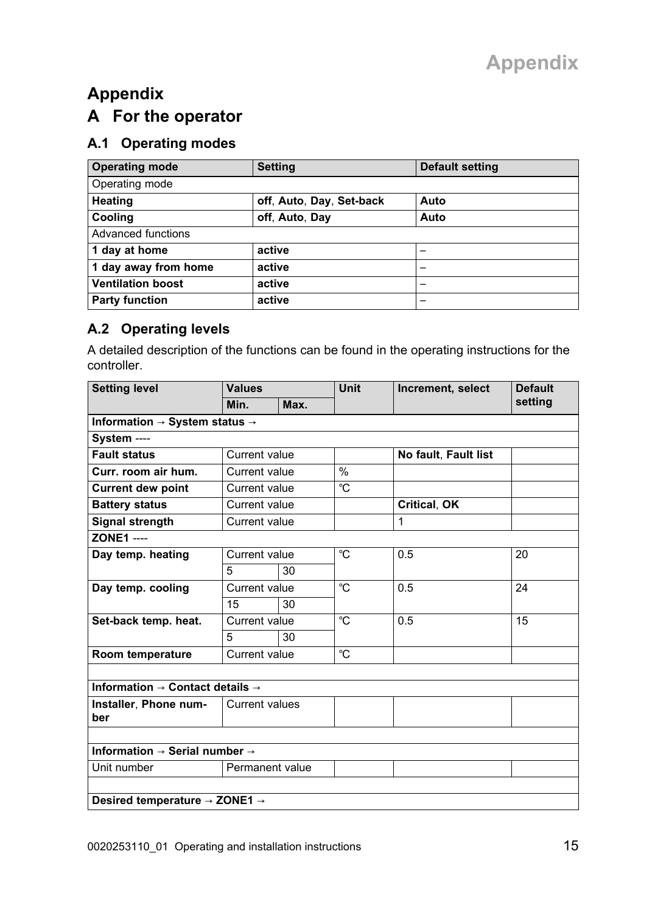# **Appendix A For the operator**

### **A.1 Operating modes**

| <b>Operating mode</b>    | <b>Setting</b>           | <b>Default setting</b>   |  |  |  |  |
|--------------------------|--------------------------|--------------------------|--|--|--|--|
| Operating mode           |                          |                          |  |  |  |  |
| Heating                  | off, Auto, Day, Set-back | Auto                     |  |  |  |  |
| Cooling                  | off. Auto. Day           | Auto                     |  |  |  |  |
| Advanced functions       |                          |                          |  |  |  |  |
| 1 day at home            | active                   | $\overline{\phantom{0}}$ |  |  |  |  |
| 1 day away from home     | active                   | $\overline{\phantom{0}}$ |  |  |  |  |
| <b>Ventilation boost</b> | active                   | $\overline{\phantom{0}}$ |  |  |  |  |
| <b>Party function</b>    | active                   | $\overline{\phantom{0}}$ |  |  |  |  |

### **A.2 Operating levels**

A detailed description of the functions can be found in the operating instructions for the controller.

| <b>Setting level</b>                                    | <b>Values</b>         |      | <b>Unit</b>   | Increment, select    | <b>Default</b> |  |
|---------------------------------------------------------|-----------------------|------|---------------|----------------------|----------------|--|
|                                                         | Min.                  | Max. |               |                      | setting        |  |
| Information $\rightarrow$ System status $\rightarrow$   |                       |      |               |                      |                |  |
| System ----                                             |                       |      |               |                      |                |  |
| <b>Fault status</b>                                     | Current value         |      |               | No fault, Fault list |                |  |
| Curr. room air hum.                                     | Current value         |      | $\frac{0}{0}$ |                      |                |  |
| <b>Current dew point</b>                                | Current value         |      | °C            |                      |                |  |
| <b>Battery status</b>                                   | Current value         |      |               | <b>Critical, OK</b>  |                |  |
| Signal strength                                         | Current value         |      |               | 1                    |                |  |
| <b>ZONE1 ----</b>                                       |                       |      |               |                      |                |  |
| Day temp. heating                                       | Current value         |      | °C            | 0.5                  | 20             |  |
|                                                         | 5                     | 30   |               |                      |                |  |
| Day temp. cooling                                       | Current value         |      | °C            | 0.5                  | 24             |  |
|                                                         | 15                    | 30   |               |                      |                |  |
| Set-back temp. heat.                                    | Current value         |      | °C            | 0.5                  | 15             |  |
|                                                         | 5                     | 30   |               |                      |                |  |
| Room temperature                                        | Current value         |      | °C            |                      |                |  |
|                                                         |                       |      |               |                      |                |  |
| Information $\rightarrow$ Contact details $\rightarrow$ |                       |      |               |                      |                |  |
| Installer, Phone num-                                   | <b>Current values</b> |      |               |                      |                |  |
| ber                                                     |                       |      |               |                      |                |  |
|                                                         |                       |      |               |                      |                |  |
| Information $\rightarrow$ Serial number $\rightarrow$   |                       |      |               |                      |                |  |
| Unit number                                             | Permanent value       |      |               |                      |                |  |
|                                                         |                       |      |               |                      |                |  |
| Desired temperature → ZONE1 →                           |                       |      |               |                      |                |  |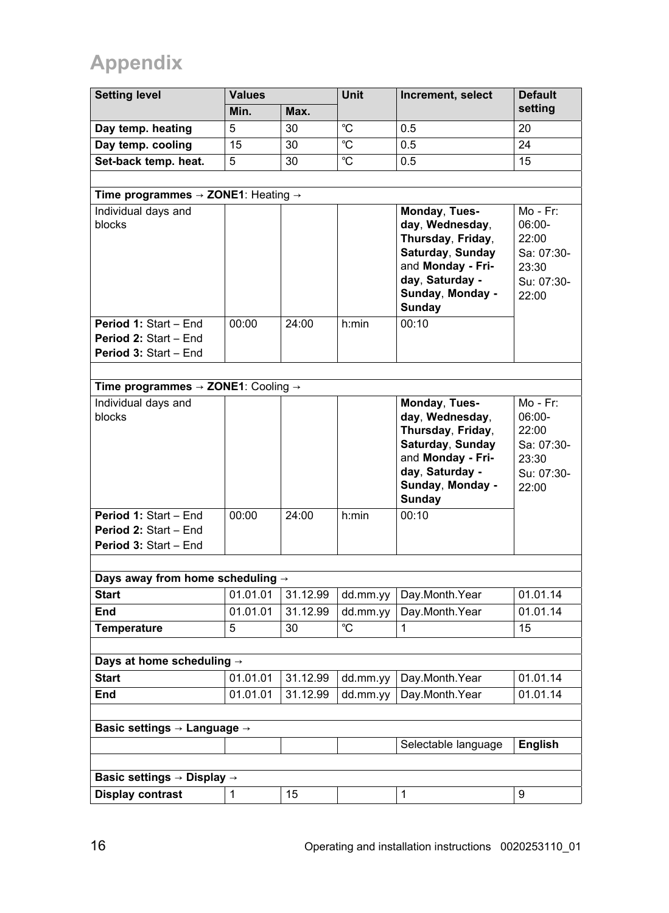# **Appendix**

| <b>Setting level</b>                                                    | <b>Values</b>        |                      | Unit      | Increment, select                                                                                                                               | <b>Default</b>                                                                 |
|-------------------------------------------------------------------------|----------------------|----------------------|-----------|-------------------------------------------------------------------------------------------------------------------------------------------------|--------------------------------------------------------------------------------|
|                                                                         | Min.                 | Max.                 |           |                                                                                                                                                 | setting                                                                        |
| Day temp. heating                                                       | 5                    | 30                   | °C        | 0.5                                                                                                                                             | 20                                                                             |
| Day temp. cooling                                                       | 15                   | 30                   | °C        | 0.5                                                                                                                                             | 24                                                                             |
| Set-back temp. heat.                                                    | 5                    | 30                   | °C        | 0.5                                                                                                                                             | 15                                                                             |
|                                                                         |                      |                      |           |                                                                                                                                                 |                                                                                |
| Time programmes $\rightarrow$ ZONE1: Heating $\rightarrow$              |                      |                      |           |                                                                                                                                                 |                                                                                |
| Individual days and<br>blocks                                           |                      |                      |           | Monday, Tues-<br>day, Wednesday,<br>Thursday, Friday,<br>Saturday, Sunday<br>and Monday - Fri-<br>day. Saturday -<br>Sunday, Monday -<br>Sunday | $Mo - Fr$ :<br>06:00-<br>22:00<br>Sa: 07:30-<br>23:30<br>Su: 07:30-<br>22:00   |
| Period 1: Start - End<br>Period 2: Start - End<br>Period 3: Start - End | 00:00                | 24:00                | $h$ : min | 00:10                                                                                                                                           |                                                                                |
|                                                                         |                      |                      |           |                                                                                                                                                 |                                                                                |
| Time programmes $\rightarrow$ ZONE1: Cooling $\rightarrow$              |                      |                      |           |                                                                                                                                                 |                                                                                |
| Individual days and<br>blocks                                           |                      |                      |           | Monday, Tues-<br>day, Wednesday,<br>Thursday, Friday,<br>Saturday, Sunday<br>and Monday - Fri-<br>day. Saturday -<br>Sunday, Monday -<br>Sunday | $Mo$ - $Fr$ :<br>06:00-<br>22:00<br>Sa: 07:30-<br>23:30<br>Su: 07:30-<br>22:00 |
| Period 1: Start - End<br>Period 2: Start - End<br>Period 3: Start - End | 00:00                | 24:00                | h:min     | 00:10                                                                                                                                           |                                                                                |
|                                                                         |                      |                      |           |                                                                                                                                                 |                                                                                |
| Days away from home scheduling $\rightarrow$                            |                      |                      |           |                                                                                                                                                 |                                                                                |
| <b>Start</b>                                                            | 01.01.01             | 31.12.99             | dd.mm.yy  | Day.Month.Year                                                                                                                                  | 01.01.14                                                                       |
| End                                                                     | 01.01.01             | 31.12.99             | dd.mm.yy  | Day Month Year                                                                                                                                  | 01.01.14                                                                       |
| Temperature                                                             | 5                    | 30                   | °C        | 1                                                                                                                                               | 15                                                                             |
|                                                                         |                      |                      |           |                                                                                                                                                 |                                                                                |
| Days at home scheduling $\rightarrow$<br><b>Start</b>                   |                      |                      |           |                                                                                                                                                 |                                                                                |
| End                                                                     | 01.01.01<br>01.01.01 | 31.12.99<br>31.12.99 | dd.mm.yy  | Day.Month.Year<br>Day Month Year                                                                                                                | 01.01.14<br>01.01.14                                                           |
|                                                                         |                      |                      | dd.mm.yy  |                                                                                                                                                 |                                                                                |
|                                                                         |                      |                      |           |                                                                                                                                                 |                                                                                |
| Basic settings $\rightarrow$ Language $\rightarrow$                     |                      |                      |           | Selectable language                                                                                                                             | English                                                                        |
|                                                                         |                      |                      |           |                                                                                                                                                 |                                                                                |
| Basic settings $\rightarrow$ Display $\rightarrow$                      |                      |                      |           |                                                                                                                                                 |                                                                                |
| Display contrast                                                        | 1                    | 15                   |           | 1                                                                                                                                               | 9                                                                              |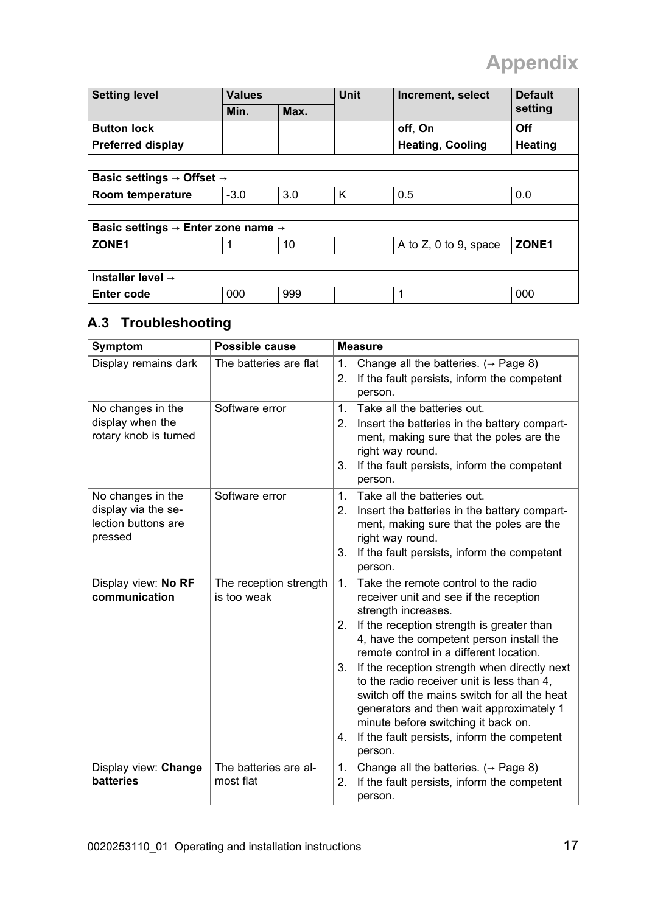# **Appendix**

| <b>Setting level</b>                                       | <b>Values</b> |      | <b>Unit</b> | Increment, select       | <b>Default</b> |  |  |
|------------------------------------------------------------|---------------|------|-------------|-------------------------|----------------|--|--|
|                                                            | Min.          | Max. |             |                         | setting        |  |  |
| <b>Button lock</b>                                         |               |      |             | off, On                 | Off            |  |  |
| Preferred display                                          |               |      |             | <b>Heating, Cooling</b> | Heating        |  |  |
|                                                            |               |      |             |                         |                |  |  |
| Basic settings $\rightarrow$ Offset $\rightarrow$          |               |      |             |                         |                |  |  |
| Room temperature                                           | $-3.0$        | 3.0  | ĸ           | 0.5                     | 0.0            |  |  |
|                                                            |               |      |             |                         |                |  |  |
| Basic settings $\rightarrow$ Enter zone name $\rightarrow$ |               |      |             |                         |                |  |  |
| ZONE1                                                      |               | 10   |             | A to Z, 0 to 9, space   | ZONE1          |  |  |
|                                                            |               |      |             |                         |                |  |  |
| Installer level $\rightarrow$                              |               |      |             |                         |                |  |  |
| Enter code                                                 | 000           | 999  |             | 1                       | 000            |  |  |

### **A.3 Troubleshooting**

| Symptom                                                                    | Possible cause                        | <b>Measure</b>                                                                                                                                                                                                                                                                                                                                                                                                                                                                                                                                                         |
|----------------------------------------------------------------------------|---------------------------------------|------------------------------------------------------------------------------------------------------------------------------------------------------------------------------------------------------------------------------------------------------------------------------------------------------------------------------------------------------------------------------------------------------------------------------------------------------------------------------------------------------------------------------------------------------------------------|
| Display remains dark                                                       | The batteries are flat                | Change all the batteries. $(\rightarrow$ Page 8)<br>1.<br>If the fault persists, inform the competent<br>2.<br>person.                                                                                                                                                                                                                                                                                                                                                                                                                                                 |
| No changes in the<br>display when the<br>rotary knob is turned             | Software error                        | Take all the batteries out.<br>$\mathbf{1}$<br>2.<br>Insert the batteries in the battery compart-<br>ment, making sure that the poles are the<br>right way round.<br>If the fault persists, inform the competent<br>3.<br>person.                                                                                                                                                                                                                                                                                                                                      |
| No changes in the<br>display via the se-<br>lection buttons are<br>pressed | Software error                        | Take all the batteries out.<br>$\mathbf{1}$<br>Insert the batteries in the battery compart-<br>2.<br>ment, making sure that the poles are the<br>right way round.<br>If the fault persists, inform the competent<br>3.<br>person.                                                                                                                                                                                                                                                                                                                                      |
| Display view: No RF<br>communication                                       | The reception strength<br>is too weak | Take the remote control to the radio<br>$\mathbf{1}$<br>receiver unit and see if the reception<br>strength increases.<br>If the reception strength is greater than<br>2.<br>4, have the competent person install the<br>remote control in a different location.<br>If the reception strength when directly next<br>3.<br>to the radio receiver unit is less than 4.<br>switch off the mains switch for all the heat<br>generators and then wait approximately 1<br>minute before switching it back on.<br>If the fault persists, inform the competent<br>4.<br>person. |
| Display view: Change<br>batteries                                          | The batteries are al-<br>most flat    | 1.<br>Change all the batteries. $(\rightarrow$ Page 8)<br>If the fault persists, inform the competent<br>2.<br>person.                                                                                                                                                                                                                                                                                                                                                                                                                                                 |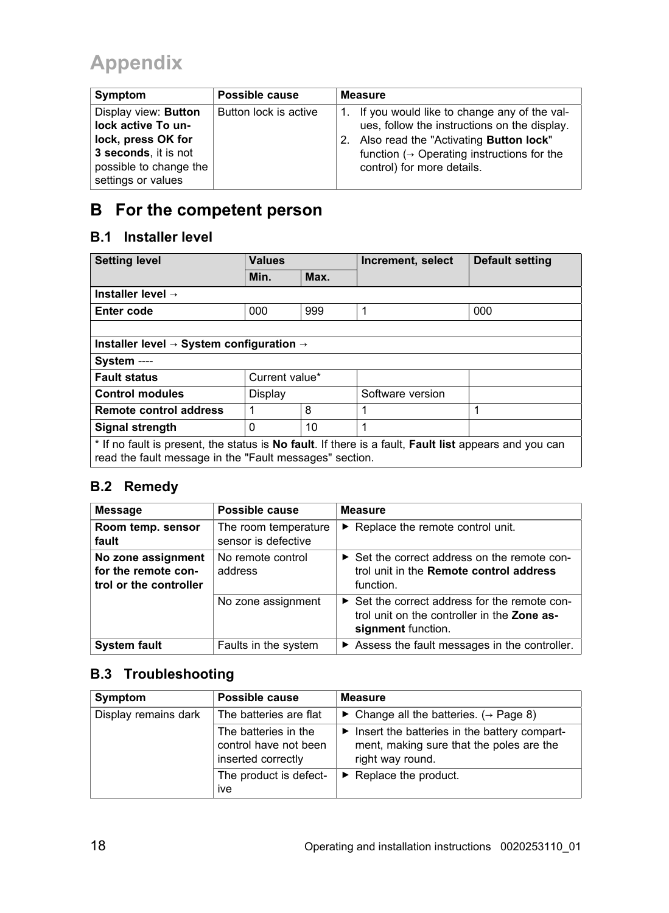# **Appendix**

| Symptom                | Possible cause        | <b>Measure</b>                                          |
|------------------------|-----------------------|---------------------------------------------------------|
| Display view: Button   | Button lock is active | If you would like to change any of the val-<br>1.       |
| lock active To un-     |                       | ues, follow the instructions on the display.            |
| lock, press OK for     |                       | Also read the "Activating Button lock"<br>2.            |
| 3 seconds, it is not   |                       | function ( $\rightarrow$ Operating instructions for the |
| possible to change the |                       | control) for more details.                              |
| settings or values     |                       |                                                         |

# **B For the competent person**

### **B.1 Installer level**

| <b>Setting level</b>                                                                                                                                             | <b>Values</b>  |      | Increment, select | Default setting |
|------------------------------------------------------------------------------------------------------------------------------------------------------------------|----------------|------|-------------------|-----------------|
|                                                                                                                                                                  | Min.           | Max. |                   |                 |
| Installer level $\rightarrow$                                                                                                                                    |                |      |                   |                 |
| Enter code                                                                                                                                                       | 000            | 999  | 1                 | 000             |
|                                                                                                                                                                  |                |      |                   |                 |
| Installer level $\rightarrow$ System configuration $\rightarrow$                                                                                                 |                |      |                   |                 |
| System ----                                                                                                                                                      |                |      |                   |                 |
| <b>Fault status</b>                                                                                                                                              | Current value* |      |                   |                 |
| <b>Control modules</b>                                                                                                                                           | Display        |      | Software version  |                 |
| Remote control address                                                                                                                                           | 1              | 8    | 1                 | 1               |
| Signal strength                                                                                                                                                  | $\Omega$       | 10   | 1                 |                 |
| * If no fault is present, the status is No fault. If there is a fault, Fault list appears and you can<br>read the fault message in the "Fault messages" section. |                |      |                   |                 |

### **B.2 Remedy**

| <b>Message</b>                                                      | Possible cause                              | <b>Measure</b>                                                                                                     |
|---------------------------------------------------------------------|---------------------------------------------|--------------------------------------------------------------------------------------------------------------------|
| Room temp. sensor<br>fault                                          | The room temperature<br>sensor is defective | $\blacktriangleright$ Replace the remote control unit.                                                             |
| No zone assignment<br>for the remote con-<br>trol or the controller | No remote control<br>address                | ► Set the correct address on the remote con-<br>trol unit in the Remote control address<br>function.               |
|                                                                     | No zone assignment                          | ► Set the correct address for the remote con-<br>trol unit on the controller in the Zone as-<br>signment function. |
| <b>System fault</b>                                                 | Faults in the system                        | Assess the fault messages in the controller.                                                                       |

### **B.3 Troubleshooting**

| Symptom              | Possible cause                                                      | <b>Measure</b>                                                                                               |
|----------------------|---------------------------------------------------------------------|--------------------------------------------------------------------------------------------------------------|
| Display remains dark | The batteries are flat                                              | $\triangleright$ Change all the batteries. ( $\rightarrow$ Page 8)                                           |
|                      | The batteries in the<br>control have not been<br>inserted correctly | Insert the batteries in the battery compart-<br>ment, making sure that the poles are the<br>right way round. |
|                      | The product is defect-<br>ive                                       | $\triangleright$ Replace the product.                                                                        |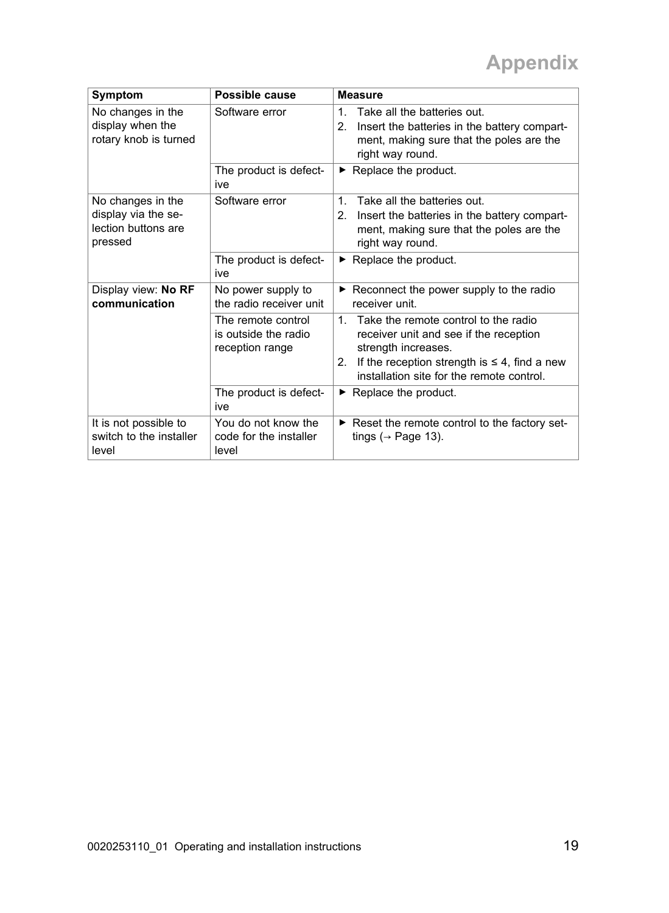| Symptom                                                                    | Possible cause                                                | <b>Measure</b>                                                                                                                                                                                                                             |
|----------------------------------------------------------------------------|---------------------------------------------------------------|--------------------------------------------------------------------------------------------------------------------------------------------------------------------------------------------------------------------------------------------|
| No changes in the<br>display when the<br>rotary knob is turned             | Software error                                                | $\mathbf{1}$<br>Take all the batteries out.<br>2.<br>Insert the batteries in the battery compart-<br>ment, making sure that the poles are the<br>right way round.                                                                          |
|                                                                            | The product is defect-<br>ive                                 | $\blacktriangleright$ Replace the product.                                                                                                                                                                                                 |
| No changes in the<br>display via the se-<br>lection buttons are<br>pressed | Software error                                                | Take all the batteries out.<br>$\mathbf{1}$<br>2.<br>Insert the batteries in the battery compart-<br>ment, making sure that the poles are the<br>right way round.                                                                          |
|                                                                            | The product is defect-<br>ive                                 | $\blacktriangleright$ Replace the product.                                                                                                                                                                                                 |
| Display view: No RF<br>communication                                       | No power supply to<br>the radio receiver unit                 | $\triangleright$ Reconnect the power supply to the radio<br>receiver unit                                                                                                                                                                  |
|                                                                            | The remote control<br>is outside the radio<br>reception range | Take the remote control to the radio<br>$\mathbf{1}$<br>receiver unit and see if the reception<br>strength increases.<br>If the reception strength is $\leq 4$ , find a new<br>2 <sup>2</sup><br>installation site for the remote control. |
|                                                                            | The product is defect-<br>ive                                 | $\triangleright$ Replace the product.                                                                                                                                                                                                      |
| It is not possible to<br>switch to the installer<br>level                  | You do not know the<br>code for the installer<br>level        | Reset the remote control to the factory set-<br>tings ( $\rightarrow$ Page 13).                                                                                                                                                            |